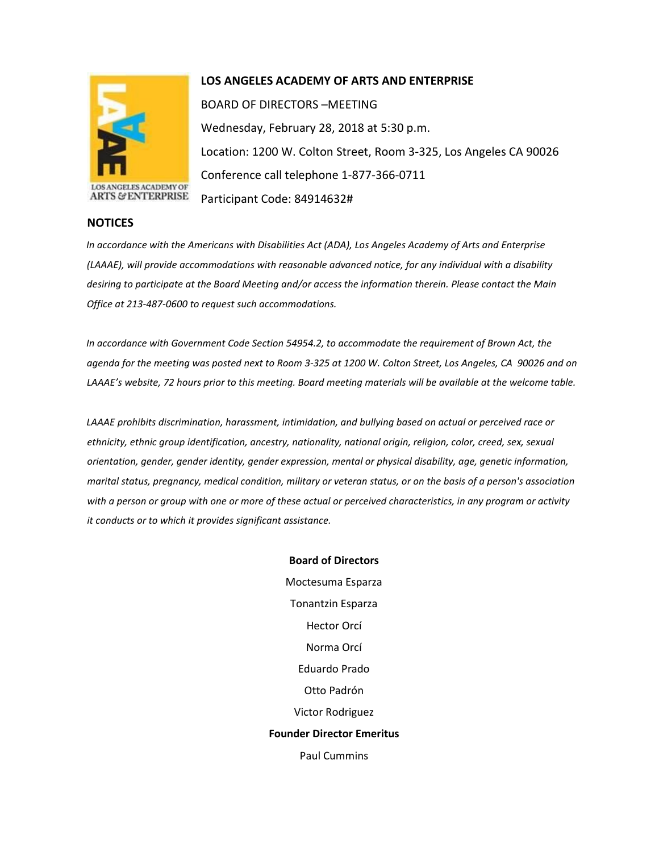

## **LOS ANGELES ACADEMY OF ARTS AND ENTERPRISE**

BOARD OF DIRECTORS –MEETING Wednesday, February 28, 2018 at 5:30 p.m. Location: 1200 W. Colton Street, Room 3-325, Los Angeles CA 90026 Conference call telephone 1-877-366-0711 Participant Code: 84914632#

## **NOTICES**

*In accordance with the Americans with Disabilities Act (ADA), Los Angeles Academy of Arts and Enterprise (LAAAE), will provide accommodations with reasonable advanced notice, for any individual with a disability desiring to participate at the Board Meeting and/or access the information therein. Please contact the Main Office at 213-487-0600 to request such accommodations.* 

*In accordance with Government Code Section 54954.2, to accommodate the requirement of Brown Act, the agenda for the meeting was posted next to Room 3-325 at 1200 W. Colton Street, Los Angeles, CA 90026 and on LAAAE's website, 72 hours prior to this meeting. Board meeting materials will be available at the welcome table.* 

*LAAAE prohibits discrimination, harassment, intimidation, and bullying based on actual or perceived race or ethnicity, ethnic group identification, ancestry, nationality, national origin, religion, color, creed, sex, sexual orientation, gender, gender identity, gender expression, mental or physical disability, age, genetic information, marital status, pregnancy, medical condition, military or veteran status, or on the basis of a person's association with a person or group with one or more of these actual or perceived characteristics, in any program or activity it conducts or to which it provides significant assistance.* 

> **Board of Directors** Moctesuma Esparza Tonantzin Esparza Hector Orcí Norma Orcí Eduardo Prado Otto Padrón Victor Rodriguez **Founder Director Emeritus** Paul Cummins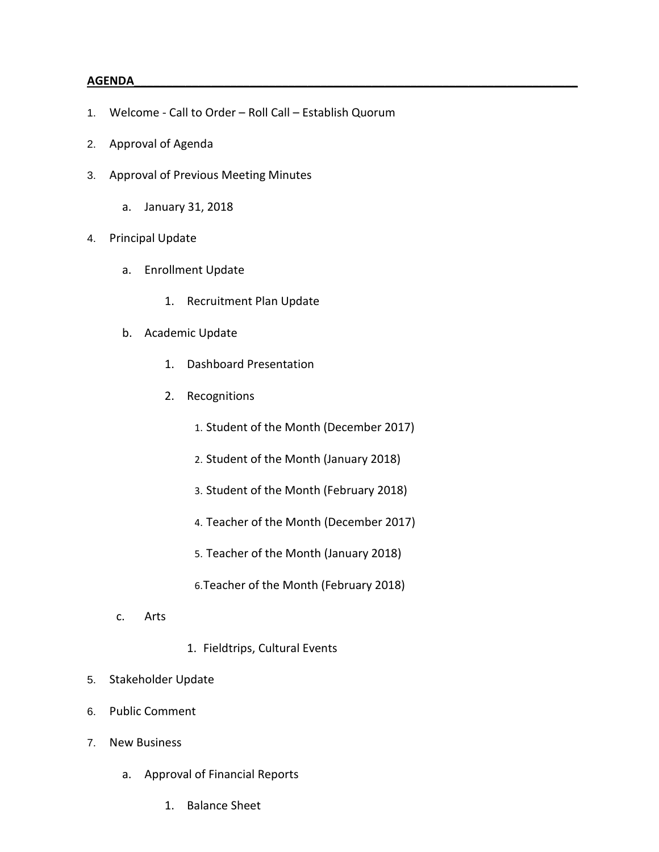## **AGENDA\_\_\_\_\_\_\_\_\_\_\_\_\_\_\_\_\_\_\_\_\_\_\_\_\_\_\_\_\_\_\_\_\_\_\_\_\_\_\_\_\_\_\_\_\_\_\_\_\_\_\_\_\_\_\_\_\_\_\_\_\_\_\_\_\_\_\_\_\_**

- 1. Welcome Call to Order Roll Call Establish Quorum
- 2. Approval of Agenda
- 3. Approval of Previous Meeting Minutes
	- a. January 31, 2018
- 4. Principal Update
	- a. Enrollment Update
		- 1. Recruitment Plan Update
	- b. Academic Update
		- 1. Dashboard Presentation
		- 2. Recognitions
			- 1. Student of the Month (December 2017)
			- 2. Student of the Month (January 2018)
			- 3. Student of the Month (February 2018)
			- 4. Teacher of the Month (December 2017)
			- 5. Teacher of the Month (January 2018)
			- 6.Teacher of the Month (February 2018)
	- c. Arts
- 1. Fieldtrips, Cultural Events
- 5. Stakeholder Update
- 6. Public Comment
- 7. New Business
	- a. Approval of Financial Reports
		- 1. Balance Sheet